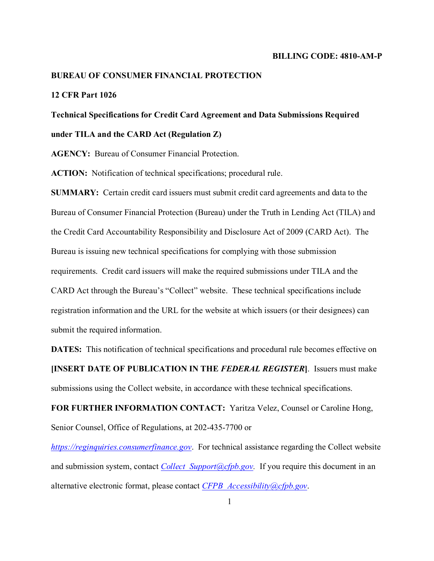#### **BILLING CODE: 4810-AM-P**

#### **BUREAU OF CONSUMER FINANCIAL PROTECTION**

# **12 CFR Part 1026**

# **Technical Specifications for Credit Card Agreement and Data Submissions Required**

# **under TILA and the CARD Act (Regulation Z)**

**AGENCY:** Bureau of Consumer Financial Protection.

**ACTION:** Notification of technical specifications; procedural rule.

**SUMMARY:** Certain credit card issuers must submit credit card agreements and data to the Bureau of Consumer Financial Protection (Bureau) under the Truth in Lending Act (TILA) and the Credit Card Accountability Responsibility and Disclosure Act of 2009 (CARD Act). The Bureau is issuing new technical specifications for complying with those submission requirements. Credit card issuers will make the required submissions under TILA and the CARD Act through the Bureau's "Collect" website. These technical specifications include registration information and the URL for the website at which issuers (or their designees) can submit the required information.

**DATES:** This notification of technical specifications and procedural rule becomes effective on **[INSERT DATE OF PUBLICATION IN THE** *FEDERAL REGISTER***]**. Issuers must make submissions using the Collect website, in accordance with these technical specifications.

**FOR FURTHER INFORMATION CONTACT:** Yaritza Velez, Counsel or Caroline Hong, Senior Counsel, Office of Regulations, at 202-435-7700 or

*[https://reginquiries.consumerfinance.gov](https://reginquiries.consumerfinance.gov/)*. For technical assistance regarding the Collect website and submission system, contact *Collect Support@cfpb.gov*. If you require this document in an alternative electronic format, please contact *[CFPB\\_Accessibility@cfpb.gov](mailto:CFPB_Accessibility@cfpb.gov)*.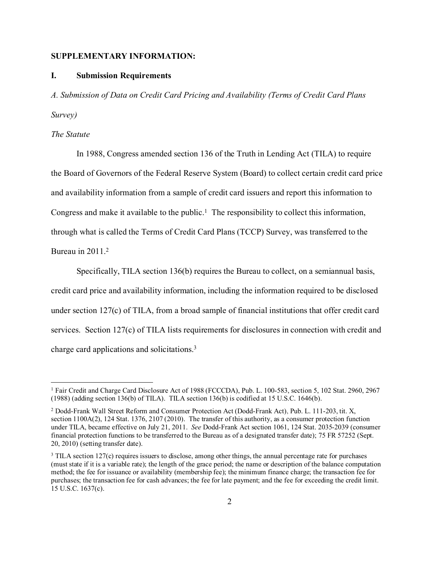#### **SUPPLEMENTARY INFORMATION:**

#### **I. Submission Requirements**

*A. Submission of Data on Credit Card Pricing and Availability (Terms of Credit Card Plans Survey)*

## *The Statute*

In 1988, Congress amended section 136 of the Truth in Lending Act (TILA) to require the Board of Governors of the Federal Reserve System (Board) to collect certain credit card price and availability information from a sample of credit card issuers and report this information to Congress and make it available to the public. [1](#page-1-0) The responsibility to collect this information, through what is called the Terms of Credit Card Plans (TCCP) Survey, was transferred to the Bureau in 2011. [2](#page-1-1)

Specifically, TILA section 136(b) requires the Bureau to collect, on a semiannual basis, credit card price and availability information, including the information required to be disclosed under section 127(c) of TILA, from a broad sample of financial institutions that offer credit card services. Section 127(c) of TILA lists requirements for disclosures in connection with credit and charge card applications and solicitations.[3](#page-1-2)

<span id="page-1-0"></span><sup>1</sup> Fair Credit and Charge Card Disclosure Act of 1988 (FCCCDA), Pub. L. 100-583, section 5, 102 Stat. 2960, 2967 (1988) (adding section 136(b) of TILA). TILA section 136(b) is codified at 15 U.S.C. 1646(b).

<span id="page-1-1"></span><sup>2</sup> Dodd-Frank Wall Street Reform and Consumer Protection Act (Dodd-Frank Act), Pub. L. 111-203, tit. X, section  $1100A(2)$ , 124 Stat. 1376, 2107 (2010). The transfer of this authority, as a consumer protection function under TILA, became effective on July 21, 2011. *See* Dodd-Frank Act section 1061, 124 Stat. 2035-2039 (consumer financial protection functions to be transferred to the Bureau as of a designated transfer date); 75 FR 57252 (Sept. 20, 2010) (setting transfer date).

<span id="page-1-2"></span><sup>3</sup> TILA section 127(c) requires issuers to disclose, among other things, the annual percentage rate for purchases (must state if it is a variable rate); the length of the grace period; the name or description of the balance computation method; the fee for issuance or availability (membership fee); the minimum finance charge; the transaction fee for purchases; the transaction fee for cash advances; the fee for late payment; and the fee for exceeding the credit limit. 15 U.S.C. 1637(c).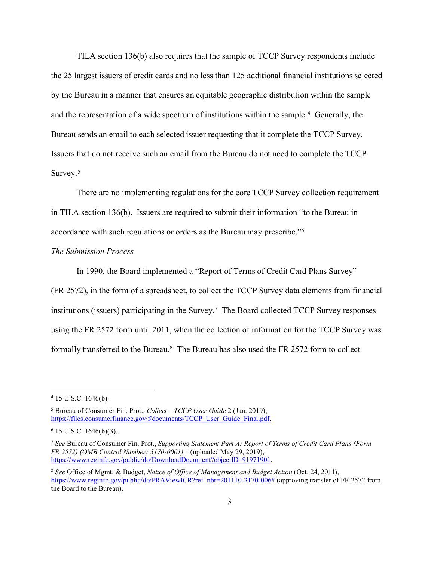TILA section 136(b) also requires that the sample of TCCP Survey respondents include the 25 largest issuers of credit cards and no less than 125 additional financial institutions selected by the Bureau in a manner that ensures an equitable geographic distribution within the sample and the representation of a wide spectrum of institutions within the sample.[4](#page-2-0) Generally, the Bureau sends an email to each selected issuer requesting that it complete the TCCP Survey. Issuers that do not receive such an email from the Bureau do not need to complete the TCCP Survey.<sup>5</sup>

There are no implementing regulations for the core TCCP Survey collection requirement in TILA section 136(b). Issuers are required to submit their information "to the Bureau in accordance with such regulations or orders as the Bureau may prescribe."[6](#page-2-2)

#### *The Submission Process*

In 1990, the Board implemented a "Report of Terms of Credit Card Plans Survey"

(FR 2572), in the form of a spreadsheet, to collect the TCCP Survey data elements from financial institutions (issuers) participating in the Survey. [7](#page-2-3) The Board collected TCCP Survey responses using the FR 2572 form until 2011, when the collection of information for the TCCP Survey was formally transferred to the Bureau.[8](#page-2-4) The Bureau has also used the FR 2572 form to collect

<span id="page-2-0"></span><sup>4</sup> 15 U.S.C. 1646(b).

<span id="page-2-1"></span><sup>5</sup> Bureau of Consumer Fin. Prot., *Collect – TCCP User Guide* 2 (Jan. 2019), [https://files.consumerfinance.gov/f/documents/TCCP\\_User\\_Guide\\_Final.pdf.](https://files.consumerfinance.gov/f/documents/TCCP_User_Guide_Final.pdf)

<span id="page-2-2"></span> $6$  15 U.S.C. 1646(b)(3).

<span id="page-2-3"></span><sup>7</sup> *See* Bureau of Consumer Fin. Prot., *Supporting Statement Part A: Report of Terms of Credit Card Plans (Form FR 2572) (OMB Control Number: 3170-0001)* 1 (uploaded May 29, 2019), [https://www.reginfo.gov/public/do/DownloadDocument?objectID=91971901.](https://www.reginfo.gov/public/do/DownloadDocument?objectID=91971901)

<span id="page-2-4"></span><sup>8</sup> *See* Office of Mgmt. & Budget, *Notice of Office of Management and Budget Action* (Oct. 24, 2011), [https://www.reginfo.gov/public/do/PRAViewICR?ref\\_nbr=201110-3170-006#](https://www.reginfo.gov/public/do/PRAViewICR?ref_nbr=201110-3170-006) (approving transfer of FR 2572 from the Board to the Bureau).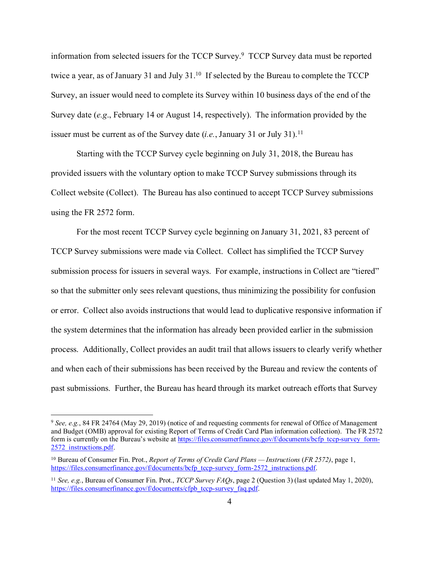information from selected issuers for the TCCP Survey[.9](#page-3-0) TCCP Survey data must be reported twice a year, as of January 31 and July 31.<sup>[10](#page-3-1)</sup> If selected by the Bureau to complete the TCCP Survey, an issuer would need to complete its Survey within 10 business days of the end of the Survey date (*e.g*., February 14 or August 14, respectively). The information provided by the issuer must be current as of the Survey date  $(i.e., January 31 or July 31).<sup>11</sup>$  $(i.e., January 31 or July 31).<sup>11</sup>$  $(i.e., January 31 or July 31).<sup>11</sup>$ 

Starting with the TCCP Survey cycle beginning on July 31, 2018, the Bureau has provided issuers with the voluntary option to make TCCP Survey submissions through its Collect website (Collect). The Bureau has also continued to accept TCCP Survey submissions using the FR 2572 form.

For the most recent TCCP Survey cycle beginning on January 31, 2021, 83 percent of TCCP Survey submissions were made via Collect. Collect has simplified the TCCP Survey submission process for issuers in several ways. For example, instructions in Collect are "tiered" so that the submitter only sees relevant questions, thus minimizing the possibility for confusion or error. Collect also avoids instructions that would lead to duplicative responsive information if the system determines that the information has already been provided earlier in the submission process. Additionally, Collect provides an audit trail that allows issuers to clearly verify whether and when each of their submissions has been received by the Bureau and review the contents of past submissions. Further, the Bureau has heard through its market outreach efforts that Survey

<span id="page-3-0"></span><sup>9</sup> *See, e.g.*, 84 FR 24764 (May 29, 2019) (notice of and requesting comments for renewal of Office of Management and Budget (OMB) approval for existing Report of Terms of Credit Card Plan information collection). The FR 2572 form is currently on the Bureau's website a[t https://files.consumerfinance.gov/f/documents/bcfp\\_tccp-survey\\_form-](https://files.consumerfinance.gov/f/documents/bcfp_tccp-survey_form-2572_instructions.pdf)[2572\\_instructions.pdf.](https://files.consumerfinance.gov/f/documents/bcfp_tccp-survey_form-2572_instructions.pdf)

<span id="page-3-1"></span><sup>10</sup> Bureau of Consumer Fin. Prot., *Report of Terms of Credit Card Plans — Instructions* (*FR 2572)*, page 1, [https://files.consumerfinance.gov/f/documents/bcfp\\_tccp-survey\\_form-2572\\_instructions.pdf.](https://files.consumerfinance.gov/f/documents/bcfp_tccp-survey_form-2572_instructions.pdf)

<span id="page-3-2"></span><sup>11</sup> *See, e.g.*, Bureau of Consumer Fin. Prot., *TCCP Survey FAQs*, page 2 (Question 3) (last updated May 1, 2020), [https://files.consumerfinance.gov/f/documents/cfpb\\_tccp-survey\\_faq.pdf.](https://files.consumerfinance.gov/f/documents/cfpb_tccp-survey_faq.pdf)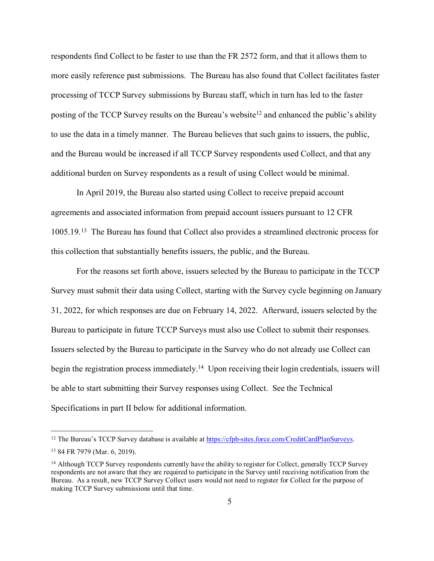respondents find Collect to be faster to use than the FR 2572 form, and that it allows them to more easily reference past submissions. The Bureau has also found that Collect facilitates faster processing of TCCP Survey submissions by Bureau staff, which in turn has led to the faster posting of the TCCP Survey results on the Bureau's website<sup>[12](#page-4-0)</sup> and enhanced the public's ability to use the data in a timely manner. The Bureau believes that such gains to issuers, the public, and the Bureau would be increased if all TCCP Survey respondents used Collect, and that any additional burden on Survey respondents as a result of using Collect would be minimal.

In April 2019, the Bureau also started using Collect to receive prepaid account agreements and associated information from prepaid account issuers pursuant to 12 CFR 1005.19.[13](#page-4-1) The Bureau has found that Collect also provides a streamlined electronic process for this collection that substantially benefits issuers, the public, and the Bureau.

For the reasons set forth above, issuers selected by the Bureau to participate in the TCCP Survey must submit their data using Collect, starting with the Survey cycle beginning on January 31, 2022, for which responses are due on February 14, 2022. Afterward, issuers selected by the Bureau to participate in future TCCP Surveys must also use Collect to submit their responses. Issuers selected by the Bureau to participate in the Survey who do not already use Collect can begin the registration process immediately.<sup>[14](#page-4-2)</sup> Upon receiving their login credentials, issuers will be able to start submitting their Survey responses using Collect. See the Technical Specifications in part II below for additional information.

<span id="page-4-0"></span><sup>&</sup>lt;sup>12</sup> The Bureau's TCCP Survey database is available a[t https://cfpb-sites.force.com/CreditCardPlanSurveys.](https://cfpb-sites.force.com/CreditCardPlanSurveys)

<span id="page-4-1"></span><sup>13</sup> 84 FR 7979 (Mar. 6, 2019).

<span id="page-4-2"></span><sup>&</sup>lt;sup>14</sup> Although TCCP Survey respondents currently have the ability to register for Collect, generally TCCP Survey respondents are not aware that they are required to participate in the Survey until receiving notification from the Bureau. As a result, new TCCP Survey Collect users would not need to register for Collect for the purpose of making TCCP Survey submissions until that time.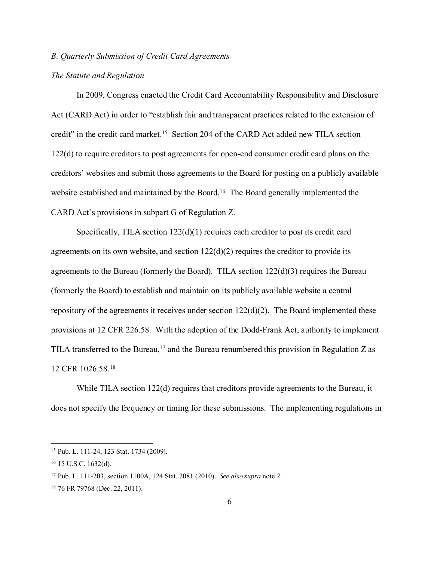## *B. Quarterly Submission of Credit Card Agreements*

## *The Statute and Regulation*

In 2009, Congress enacted the Credit Card Accountability Responsibility and Disclosure Act (CARD Act) in order to "establish fair and transparent practices related to the extension of credit" in the credit card market. [15](#page-5-0) Section 204 of the CARD Act added new TILA section 122(d) to require creditors to post agreements for open-end consumer credit card plans on the creditors' websites and submit those agreements to the Board for posting on a publicly available website established and maintained by the Board.<sup>[16](#page-5-1)</sup> The Board generally implemented the CARD Act's provisions in subpart G of Regulation Z.

Specifically, TILA section  $122(d)(1)$  requires each creditor to post its credit card agreements on its own website, and section  $122(d)(2)$  requires the creditor to provide its agreements to the Bureau (formerly the Board). TILA section  $122(d)(3)$  requires the Bureau (formerly the Board) to establish and maintain on its publicly available website a central repository of the agreements it receives under section 122(d)(2). The Board implemented these provisions at 12 CFR 226.58. With the adoption of the Dodd-Frank Act, authority to implement TILA transferred to the Bureau,<sup>[17](#page-5-2)</sup> and the Bureau renumbered this provision in Regulation Z as 12 CFR 1026.58.[18](#page-5-3)

While TILA section 122(d) requires that creditors provide agreements to the Bureau, it does not specify the frequency or timing for these submissions. The implementing regulations in

<span id="page-5-0"></span><sup>15</sup> Pub. L. 111-24, 123 Stat. 1734 (2009).

<span id="page-5-1"></span><sup>16</sup> 15 U.S.C. 1632(d).

<span id="page-5-2"></span><sup>17</sup> Pub. L. 111-203, section 1100A, 124 Stat. 2081 (2010). *See also supra* note 2.

<span id="page-5-3"></span><sup>18</sup> 76 FR 79768 (Dec. 22, 2011).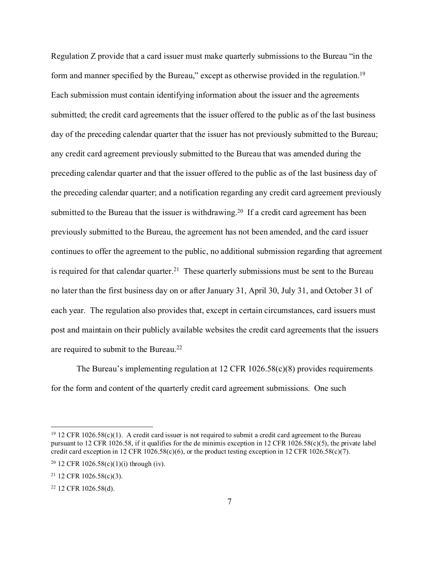Regulation Z provide that a card issuer must make quarterly submissions to the Bureau "in the form and manner specified by the Bureau," except as otherwise provided in the regulation.<sup>[19](#page-6-0)</sup> Each submission must contain identifying information about the issuer and the agreements submitted; the credit card agreements that the issuer offered to the public as of the last business day of the preceding calendar quarter that the issuer has not previously submitted to the Bureau; any credit card agreement previously submitted to the Bureau that was amended during the preceding calendar quarter and that the issuer offered to the public as of the last business day of the preceding calendar quarter; and a notification regarding any credit card agreement previously submitted to the Bureau that the issuer is withdrawing.<sup>[20](#page-6-1)</sup> If a credit card agreement has been previously submitted to the Bureau, the agreement has not been amended, and the card issuer continues to offer the agreement to the public, no additional submission regarding that agreement is required for that calendar quarter.<sup>[21](#page-6-2)</sup> These quarterly submissions must be sent to the Bureau no later than the first business day on or after January 31, April 30, July 31, and October 31 of each year. The regulation also provides that, except in certain circumstances, card issuers must post and maintain on their publicly available websites the credit card agreements that the issuers are required to submit to the Bureau.[22](#page-6-3)

The Bureau's implementing regulation at 12 CFR 1026.58(c)(8) provides requirements for the form and content of the quarterly credit card agreement submissions. One such

<span id="page-6-0"></span> $19$  12 CFR 1026.58(c)(1). A credit card issuer is not required to submit a credit card agreement to the Bureau pursuant to 12 CFR 1026.58, if it qualifies for the de minimis exception in 12 CFR 1026.58(c)(5), the private label credit card exception in 12 CFR 1026.58(c)(6), or the product testing exception in 12 CFR 1026.58(c)(7).

<span id="page-6-1"></span><sup>&</sup>lt;sup>20</sup> 12 CFR 1026.58(c)(1)(i) through (iv).

<span id="page-6-2"></span><sup>21</sup> 12 CFR 1026.58(c)(3).

<span id="page-6-3"></span><sup>22</sup> 12 CFR 1026.58(d).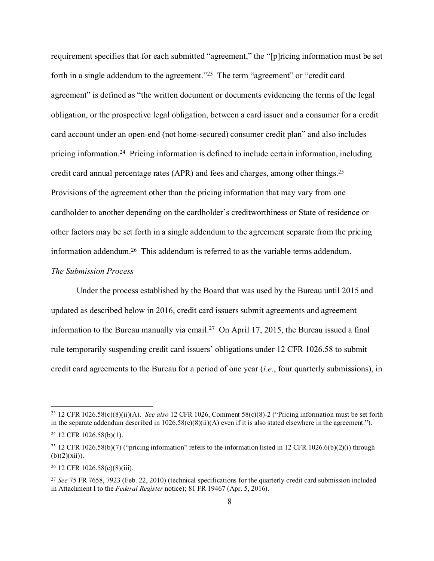requirement specifies that for each submitted "agreement," the "[p]ricing information must be set forth in a single addendum to the agreement.["23](#page-7-0) The term "agreement" or "credit card agreement" is defined as "the written document or documents evidencing the terms of the legal obligation, or the prospective legal obligation, between a card issuer and a consumer for a credit card account under an open-end (not home-secured) consumer credit plan" and also includes pricing information. [24](#page-7-1) Pricing information is defined to include certain information, including credit card annual percentage rates (APR) and fees and charges, among other things.[25](#page-7-2)  Provisions of the agreement other than the pricing information that may vary from one cardholder to another depending on the cardholder's creditworthiness or State of residence or other factors may be set forth in a single addendum to the agreement separate from the pricing information addendum.[26](#page-7-3) This addendum is referred to as the variable terms addendum.

## *The Submission Process*

Under the process established by the Board that was used by the Bureau until 2015 and updated as described below in 2016, credit card issuers submit agreements and agreement information to the Bureau manually via email. [27](#page-7-4) On April 17, 2015, the Bureau issued a final rule temporarily suspending credit card issuers' obligations under 12 CFR 1026.58 to submit credit card agreements to the Bureau for a period of one year (*i.e.*, four quarterly submissions), in

<span id="page-7-0"></span><sup>23</sup> 12 CFR 1026.58(c)(8)(ii)(A). *See also* 12 CFR 1026, Comment 58(c)(8)-2 ("Pricing information must be set forth in the separate addendum described in  $1026.58(c)(8)(ii)(A)$  even if it is also stated elsewhere in the agreement.").

<span id="page-7-1"></span><sup>24</sup> 12 CFR 1026.58(b)(1).

<span id="page-7-2"></span><sup>&</sup>lt;sup>25</sup> 12 CFR 1026.58(b)(7) ("pricing information" refers to the information listed in 12 CFR 1026.6(b)(2)(i) through  $(b)(2)(xii)).$ 

<span id="page-7-3"></span><sup>26</sup> 12 CFR 1026.58(c)(8)(iii).

<span id="page-7-4"></span><sup>27</sup> *See* 75 FR 7658, 7923 (Feb. 22, 2010) (technical specifications for the quarterly credit card submission included in Attachment I to the *Federal Register* notice); 81 FR 19467 (Apr. 5, 2016).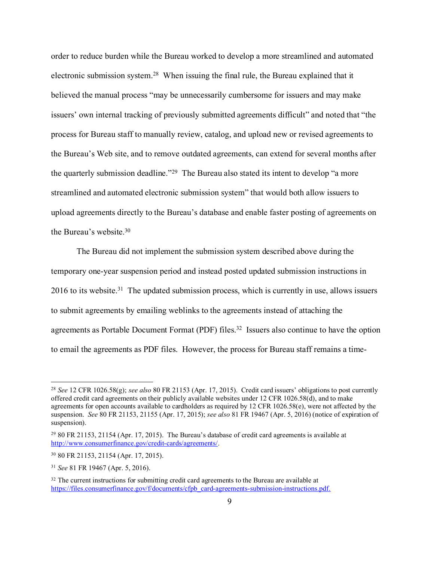order to reduce burden while the Bureau worked to develop a more streamlined and automated electronic submission system.[28](#page-8-0) When issuing the final rule, the Bureau explained that it believed the manual process "may be unnecessarily cumbersome for issuers and may make issuers' own internal tracking of previously submitted agreements difficult" and noted that "the process for Bureau staff to manually review, catalog, and upload new or revised agreements to the Bureau's Web site, and to remove outdated agreements, can extend for several months after the quarterly submission deadline.["29](#page-8-1) The Bureau also stated its intent to develop "a more streamlined and automated electronic submission system" that would both allow issuers to upload agreements directly to the Bureau's database and enable faster posting of agreements on the Bureau's website[.30](#page-8-2)

The Bureau did not implement the submission system described above during the temporary one-year suspension period and instead posted updated submission instructions in 2016 to its website.<sup>31</sup> The updated submission process, which is currently in use, allows issuers to submit agreements by emailing weblinks to the agreements instead of attaching the agreements as Portable Document Format (PDF) files. [32](#page-8-4) Issuers also continue to have the option to email the agreements as PDF files. However, the process for Bureau staff remains a time-

<span id="page-8-0"></span><sup>28</sup> *See* 12 CFR 1026.58(g); *see also* 80 FR 21153 (Apr. 17, 2015). Credit card issuers' obligations to post currently offered credit card agreements on their publicly available websites under 12 CFR 1026.58(d), and to make agreements for open accounts available to cardholders as required by 12 CFR 1026.58(e), were not affected by the suspension. *See* 80 FR 21153, 21155 (Apr. 17, 2015); *see also* 81 FR 19467 (Apr. 5, 2016) (notice of expiration of suspension).

<span id="page-8-1"></span><sup>29</sup> 80 FR 21153, 21154 (Apr. 17, 2015). The Bureau's database of credit card agreements is available at [http://www.consumerfinance.gov/credit-cards/agreements/.](http://www.consumerfinance.gov/credit-cards/agreements/)

<span id="page-8-2"></span><sup>30</sup> 80 FR 21153, 21154 (Apr. 17, 2015).

<span id="page-8-3"></span><sup>31</sup> *See* 81 FR 19467 (Apr. 5, 2016).

<span id="page-8-4"></span> $32$  The current instructions for submitting credit card agreements to the Bureau are available at [https://files.consumerfinance.gov/f/documents/cfpb\\_card-agreements-submission-instructions.pdf.](https://files.consumerfinance.gov/f/documents/cfpb_card-agreements-submission-instructions.pdf)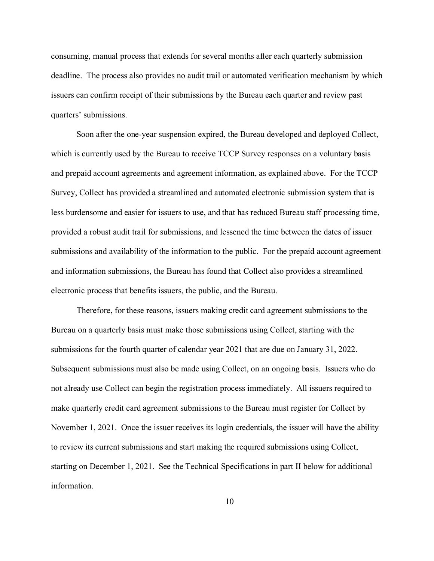consuming, manual process that extends for several months after each quarterly submission deadline. The process also provides no audit trail or automated verification mechanism by which issuers can confirm receipt of their submissions by the Bureau each quarter and review past quarters' submissions.

Soon after the one-year suspension expired, the Bureau developed and deployed Collect, which is currently used by the Bureau to receive TCCP Survey responses on a voluntary basis and prepaid account agreements and agreement information, as explained above. For the TCCP Survey, Collect has provided a streamlined and automated electronic submission system that is less burdensome and easier for issuers to use, and that has reduced Bureau staff processing time, provided a robust audit trail for submissions, and lessened the time between the dates of issuer submissions and availability of the information to the public. For the prepaid account agreement and information submissions, the Bureau has found that Collect also provides a streamlined electronic process that benefits issuers, the public, and the Bureau.

Therefore, for these reasons, issuers making credit card agreement submissions to the Bureau on a quarterly basis must make those submissions using Collect, starting with the submissions for the fourth quarter of calendar year 2021 that are due on January 31, 2022. Subsequent submissions must also be made using Collect, on an ongoing basis. Issuers who do not already use Collect can begin the registration process immediately. All issuers required to make quarterly credit card agreement submissions to the Bureau must register for Collect by November 1, 2021. Once the issuer receives its login credentials, the issuer will have the ability to review its current submissions and start making the required submissions using Collect, starting on December 1, 2021. See the Technical Specifications in part II below for additional information.

10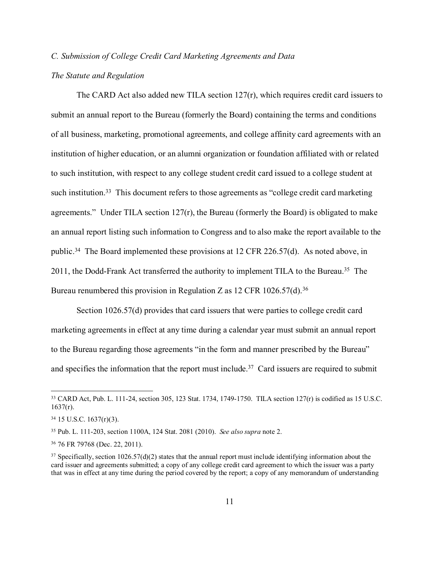## *C. Submission of College Credit Card Marketing Agreements and Data*

## *The Statute and Regulation*

The CARD Act also added new TILA section  $127(r)$ , which requires credit card issuers to submit an annual report to the Bureau (formerly the Board) containing the terms and conditions of all business, marketing, promotional agreements, and college affinity card agreements with an institution of higher education, or an alumni organization or foundation affiliated with or related to such institution, with respect to any college student credit card issued to a college student at such institution.<sup>33</sup> This document refers to those agreements as "college credit card marketing agreements." Under TILA section 127(r), the Bureau (formerly the Board) is obligated to make an annual report listing such information to Congress and to also make the report available to the public.[34](#page-10-1) The Board implemented these provisions at 12 CFR 226.57(d). As noted above, in 2011, the Dodd-Frank Act transferred the authority to implement TILA to the Bureau.<sup>[35](#page-10-2)</sup> The Bureau renumbered this provision in Regulation Z as  $12$  CFR  $1026.57(d)$ .<sup>[36](#page-10-3)</sup>

Section 1026.57(d) provides that card issuers that were parties to college credit card marketing agreements in effect at any time during a calendar year must submit an annual report to the Bureau regarding those agreements "in the form and manner prescribed by the Bureau" and specifies the information that the report must include.<sup>[37](#page-10-4)</sup> Card issuers are required to submit

<span id="page-10-0"></span><sup>33</sup> CARD Act, Pub. L. 111-24, section 305, 123 Stat. 1734, 1749-1750. TILA section 127(r) is codified as 15 U.S.C.  $1637(r)$ .

<span id="page-10-1"></span><sup>34</sup> 15 U.S.C. 1637(r)(3).

<span id="page-10-2"></span><sup>35</sup> Pub. L. 111-203, section 1100A, 124 Stat. 2081 (2010). *See also supra* note 2.

<span id="page-10-3"></span><sup>36</sup> 76 FR 79768 (Dec. 22, 2011).

<span id="page-10-4"></span> $37$  Specifically, section 1026.57(d)(2) states that the annual report must include identifying information about the card issuer and agreements submitted; a copy of any college credit card agreement to which the issuer was a party that was in effect at any time during the period covered by the report; a copy of any memorandum of understanding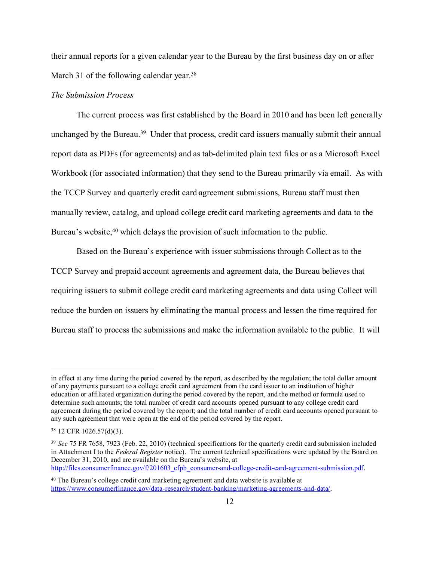their annual reports for a given calendar year to the Bureau by the first business day on or after March 31 of the following calendar year.<sup>[38](#page-11-0)</sup>

## *The Submission Process*

The current process was first established by the Board in 2010 and has been left generally unchanged by the Bureau. [39](#page-11-1) Under that process, credit card issuers manually submit their annual report data as PDFs (for agreements) and as tab-delimited plain text files or as a Microsoft Excel Workbook (for associated information) that they send to the Bureau primarily via email. As with the TCCP Survey and quarterly credit card agreement submissions, Bureau staff must then manually review, catalog, and upload college credit card marketing agreements and data to the Bureau's website,<sup>40</sup> which delays the provision of such information to the public.

Based on the Bureau's experience with issuer submissions through Collect as to the TCCP Survey and prepaid account agreements and agreement data, the Bureau believes that requiring issuers to submit college credit card marketing agreements and data using Collect will reduce the burden on issuers by eliminating the manual process and lessen the time required for Bureau staff to process the submissions and make the information available to the public. It will

in effect at any time during the period covered by the report, as described by the regulation; the total dollar amount of any payments pursuant to a college credit card agreement from the card issuer to an institution of higher education or affiliated organization during the period covered by the report, and the method or formula used to determine such amounts; the total number of credit card accounts opened pursuant to any college credit card agreement during the period covered by the report; and the total number of credit card accounts opened pursuant to any such agreement that were open at the end of the period covered by the report.

<span id="page-11-0"></span><sup>38</sup> 12 CFR 1026.57(d)(3).

<span id="page-11-1"></span><sup>39</sup> *See* 75 FR 7658, 7923 (Feb. 22, 2010) (technical specifications for the quarterly credit card submission included in Attachment I to the *Federal Register* notice). The current technical specifications were updated by the Board on December 31, 2010, and are available on the Bureau's website, at [http://files.consumerfinance.gov/f/201603\\_cfpb\\_consumer-and-college-credit-card-agreement-submission.pdf.](http://files.consumerfinance.gov/f/201603_cfpb_consumer-and-college-credit-card-agreement-submission.pdf)

<span id="page-11-2"></span><sup>40</sup> The Bureau's college credit card marketing agreement and data website is available at [https://www.consumerfinance.gov/data-research/student-banking/marketing-agreements-and-data/.](https://www.consumerfinance.gov/data-research/student-banking/marketing-agreements-and-data/)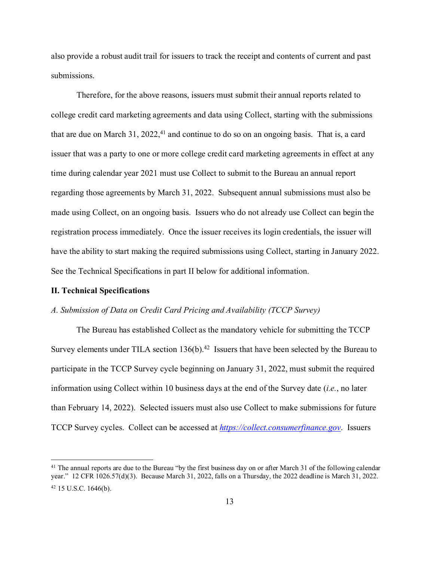also provide a robust audit trail for issuers to track the receipt and contents of current and past submissions.

Therefore, for the above reasons, issuers must submit their annual reports related to college credit card marketing agreements and data using Collect, starting with the submissions that are due on March 31, 2022, [41](#page-12-0) and continue to do so on an ongoing basis. That is, a card issuer that was a party to one or more college credit card marketing agreements in effect at any time during calendar year 2021 must use Collect to submit to the Bureau an annual report regarding those agreements by March 31, 2022. Subsequent annual submissions must also be made using Collect, on an ongoing basis. Issuers who do not already use Collect can begin the registration process immediately. Once the issuer receives its login credentials, the issuer will have the ability to start making the required submissions using Collect, starting in January 2022. See the Technical Specifications in part II below for additional information.

#### **II. Technical Specifications**

#### *A. Submission of Data on Credit Card Pricing and Availability (TCCP Survey)*

The Bureau has established Collect as the mandatory vehicle for submitting the TCCP Survey elements under TILA section  $136(b)$ .<sup>[42](#page-12-1)</sup> Issuers that have been selected by the Bureau to participate in the TCCP Survey cycle beginning on January 31, 2022, must submit the required information using Collect within 10 business days at the end of the Survey date (*i.e.*, no later than February 14, 2022). Selected issuers must also use Collect to make submissions for future TCCP Survey cycles. Collect can be accessed at *[https://collect.consumerfinance.gov](https://collect.consumerfinance.gov/)*. Issuers

<span id="page-12-1"></span><span id="page-12-0"></span><sup>&</sup>lt;sup>41</sup> The annual reports are due to the Bureau "by the first business day on or after March 31 of the following calendar year." 12 CFR 1026.57(d)(3). Because March 31, 2022, falls on a Thursday, the 2022 deadline is March 31, 2022. <sup>42</sup> 15 U.S.C. 1646(b).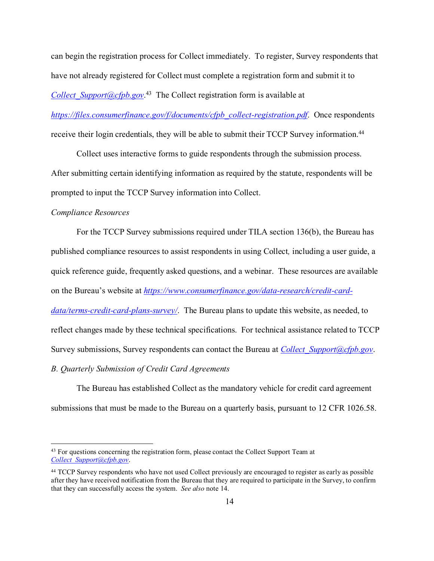can begin the registration process for Collect immediately. To register, Survey respondents that have not already registered for Collect must complete a registration form and submit it to *[Collect\\_Support@cfpb.gov](mailto:Collect_Support@cfpb.gov)*. [43](#page-13-0) The Collect registration form is available at

*[https://files.consumerfinance.gov/f/documents/cfpb\\_collect-registration.pdf](https://files.consumerfinance.gov/f/documents/cfpb_collect-registration.pdf)*. Once respondents receive their login credentials, they will be able to submit their TCCP Survey information.<sup>[44](#page-13-1)</sup>

Collect uses interactive forms to guide respondents through the submission process. After submitting certain identifying information as required by the statute, respondents will be prompted to input the TCCP Survey information into Collect.

## *Compliance Resources*

For the TCCP Survey submissions required under TILA section 136(b), the Bureau has published compliance resources to assist respondents in using Collect*,* including a user guide, a quick reference guide, frequently asked questions, and a webinar. These resources are available on the Bureau's website at *[https://www.consumerfinance.gov/data-research/credit-card](https://www.consumerfinance.gov/data-research/credit-card-data/terms-credit-card-plans-survey/)[data/terms-credit-card-plans-survey/](https://www.consumerfinance.gov/data-research/credit-card-data/terms-credit-card-plans-survey/)*. The Bureau plans to update this website, as needed, to reflect changes made by these technical specifications. For technical assistance related to TCCP Survey submissions, Survey respondents can contact the Bureau at *[Collect\\_Support@cfpb.gov](mailto:Collect_Support@cfpb.gov)*.

*B. Quarterly Submission of Credit Card Agreements*

The Bureau has established Collect as the mandatory vehicle for credit card agreement submissions that must be made to the Bureau on a quarterly basis, pursuant to 12 CFR 1026.58.

<span id="page-13-0"></span><sup>&</sup>lt;sup>43</sup> For questions concerning the registration form, please contact the Collect Support Team at *[Collect\\_Support@cfpb.gov](mailto:Collect_Support@cfpb.gov)*.

<span id="page-13-1"></span><sup>44</sup> TCCP Survey respondents who have not used Collect previously are encouraged to register as early as possible after they have received notification from the Bureau that they are required to participate in the Survey, to confirm that they can successfully access the system. *See also* note 14.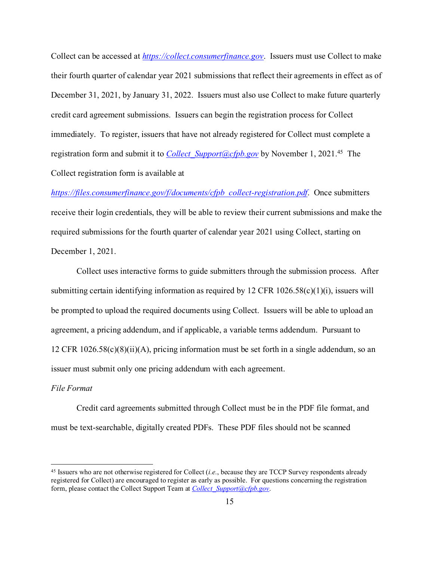Collect can be accessed at *[https://collect.consumerfinance.gov](https://collect.consumerfinance.gov/)*. Issuers must use Collect to make their fourth quarter of calendar year 2021 submissions that reflect their agreements in effect as of December 31, 2021, by January 31, 2022. Issuers must also use Collect to make future quarterly credit card agreement submissions. Issuers can begin the registration process for Collect immediately. To register, issuers that have not already registered for Collect must complete a registration form and submit it to *[Collect\\_Support@cfpb.gov](mailto:Collect_Support@cfpb.gov)* by November 1, 2021. [45](#page-14-0) The Collect registration form is available at

*[https://files.consumerfinance.gov/f/documents/cfpb\\_collect-registration.pdf](https://files.consumerfinance.gov/f/documents/cfpb_collect-registration.pdf)*. Once submitters receive their login credentials, they will be able to review their current submissions and make the required submissions for the fourth quarter of calendar year 2021 using Collect, starting on December 1, 2021.

Collect uses interactive forms to guide submitters through the submission process. After submitting certain identifying information as required by 12 CFR 1026.58(c)(1)(i), issuers will be prompted to upload the required documents using Collect. Issuers will be able to upload an agreement, a pricing addendum, and if applicable, a variable terms addendum. Pursuant to 12 CFR  $1026.58(c)(8)(ii)(A)$ , pricing information must be set forth in a single addendum, so an issuer must submit only one pricing addendum with each agreement.

## *File Format*

Credit card agreements submitted through Collect must be in the PDF file format, and must be text-searchable, digitally created PDFs. These PDF files should not be scanned

<span id="page-14-0"></span><sup>45</sup> Issuers who are not otherwise registered for Collect (*i.e.*, because they are TCCP Survey respondents already registered for Collect) are encouraged to register as early as possible. For questions concerning the registration form, please contact the Collect Support Team at *[Collect\\_Support@cfpb.gov](mailto:Collect_Support@cfpb.gov)*.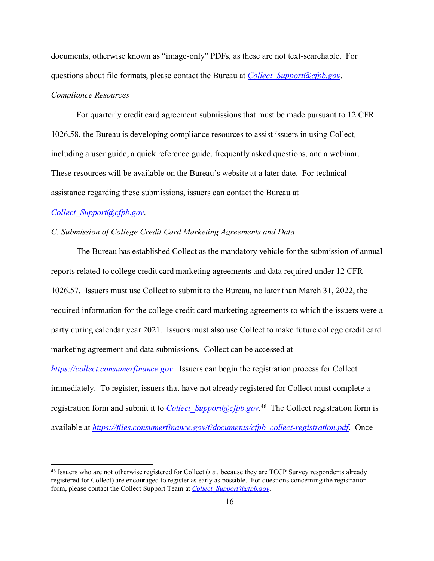documents, otherwise known as "image-only" PDFs, as these are not text-searchable. For questions about file formats, please contact the Bureau at *[Collect\\_Support@cfpb.gov](mailto:Collect_Support@cfpb.gov)*. *Compliance Resources*

For quarterly credit card agreement submissions that must be made pursuant to 12 CFR 1026.58, the Bureau is developing compliance resources to assist issuers in using Collect*,*  including a user guide, a quick reference guide, frequently asked questions, and a webinar. These resources will be available on the Bureau's website at a later date. For technical assistance regarding these submissions, issuers can contact the Bureau at

## *[Collect\\_Support@cfpb.gov](mailto:Collect_Support@cfpb.gov)*.

# *C. Submission of College Credit Card Marketing Agreements and Data*

The Bureau has established Collect as the mandatory vehicle for the submission of annual reports related to college credit card marketing agreements and data required under 12 CFR 1026.57. Issuers must use Collect to submit to the Bureau, no later than March 31, 2022, the required information for the college credit card marketing agreements to which the issuers were a party during calendar year 2021. Issuers must also use Collect to make future college credit card marketing agreement and data submissions. Collect can be accessed at *[https://collect.consumerfinance.gov](https://collect.consumerfinance.gov/)*. Issuers can begin the registration process for Collect immediately. To register, issuers that have not already registered for Collect must complete a

available at *[https://files.consumerfinance.gov/f/documents/cfpb\\_collect-registration.pdf](https://files.consumerfinance.gov/f/documents/cfpb_collect-registration.pdf)*. Once

registration form and submit it to *[Collect\\_Support@cfpb.gov](mailto:Collect_Support@cfpb.gov)*. [46](#page-15-0) The Collect registration form is

<span id="page-15-0"></span><sup>46</sup> Issuers who are not otherwise registered for Collect (*i.e.*, because they are TCCP Survey respondents already registered for Collect) are encouraged to register as early as possible. For questions concerning the registration form, please contact the Collect Support Team at *[Collect\\_Support@cfpb.gov](mailto:Collect_Support@cfpb.gov)*.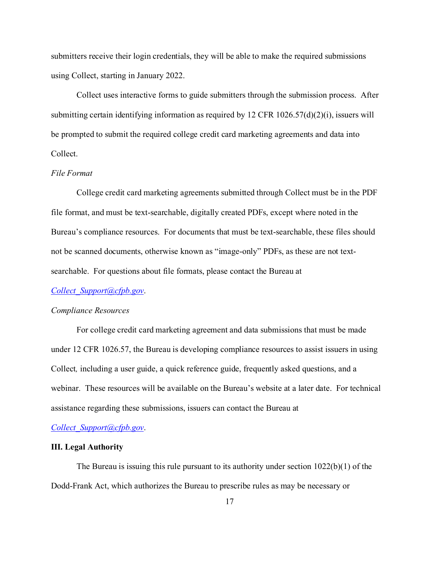submitters receive their login credentials, they will be able to make the required submissions using Collect, starting in January 2022.

Collect uses interactive forms to guide submitters through the submission process. After submitting certain identifying information as required by 12 CFR 1026.57(d)(2)(i), issuers will be prompted to submit the required college credit card marketing agreements and data into Collect.

#### *File Format*

College credit card marketing agreements submitted through Collect must be in the PDF file format, and must be text-searchable, digitally created PDFs, except where noted in the Bureau's compliance resources. For documents that must be text-searchable, these files should not be scanned documents, otherwise known as "image-only" PDFs, as these are not textsearchable. For questions about file formats, please contact the Bureau at

#### *[Collect\\_Support@cfpb.gov](mailto:Collect_Support@cfpb.gov)*.

#### *Compliance Resources*

For college credit card marketing agreement and data submissions that must be made under 12 CFR 1026.57, the Bureau is developing compliance resources to assist issuers in using Collect*,* including a user guide, a quick reference guide, frequently asked questions, and a webinar. These resources will be available on the Bureau's website at a later date. For technical assistance regarding these submissions, issuers can contact the Bureau at

*[Collect\\_Support@cfpb.gov](mailto:Collect_Support@cfpb.gov)*.

#### **III. Legal Authority**

The Bureau is issuing this rule pursuant to its authority under section 1022(b)(1) of the Dodd-Frank Act, which authorizes the Bureau to prescribe rules as may be necessary or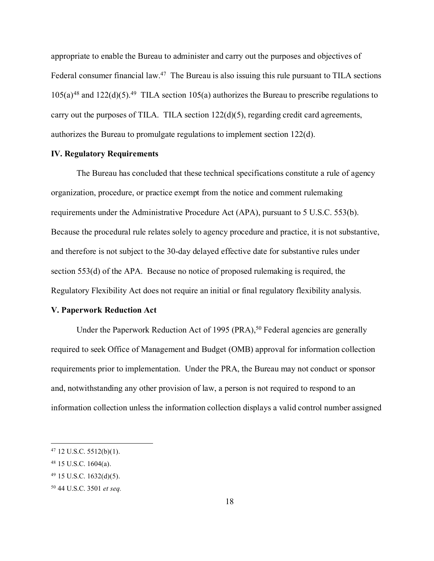appropriate to enable the Bureau to administer and carry out the purposes and objectives of Federal consumer financial law.<sup>47</sup> The Bureau is also issuing this rule pursuant to TILA sections  $105(a)^{48}$  $105(a)^{48}$  $105(a)^{48}$  and  $122(d)(5)$ .<sup>[49](#page-17-2)</sup> TILA section  $105(a)$  authorizes the Bureau to prescribe regulations to carry out the purposes of TILA. TILA section 122(d)(5), regarding credit card agreements, authorizes the Bureau to promulgate regulations to implement section 122(d).

## **IV. Regulatory Requirements**

The Bureau has concluded that these technical specifications constitute a rule of agency organization, procedure, or practice exempt from the notice and comment rulemaking requirements under the Administrative Procedure Act (APA), pursuant to 5 U.S.C. 553(b). Because the procedural rule relates solely to agency procedure and practice, it is not substantive, and therefore is not subject to the 30-day delayed effective date for substantive rules under section 553(d) of the APA. Because no notice of proposed rulemaking is required, the Regulatory Flexibility Act does not require an initial or final regulatory flexibility analysis.

## **V. Paperwork Reduction Act**

Under the Paperwork Reduction Act of 1995 (PRA),<sup>[50](#page-17-3)</sup> Federal agencies are generally required to seek Office of Management and Budget (OMB) approval for information collection requirements prior to implementation. Under the PRA, the Bureau may not conduct or sponsor and, notwithstanding any other provision of law, a person is not required to respond to an information collection unless the information collection displays a valid control number assigned

<span id="page-17-0"></span> $47$  12 U.S.C.  $5512(b)(1)$ .

<span id="page-17-1"></span><sup>48</sup> 15 U.S.C. 1604(a).

<span id="page-17-2"></span><sup>49</sup> 15 U.S.C. 1632(d)(5).

<span id="page-17-3"></span><sup>50</sup> 44 U.S.C. 3501 *et seq.*